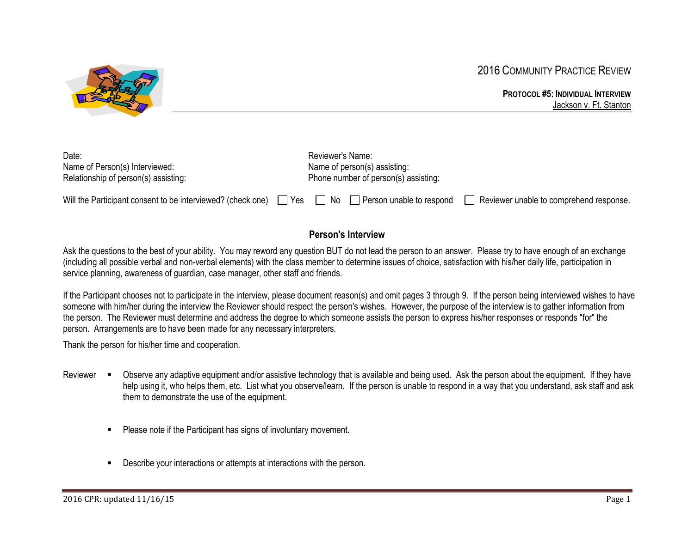



#### **PROTOCOL #5: INDIVIDUAL INTERVIEW** Jackson v. Ft. Stanton

| Date:                                                                                                            |  | Reviewer's Name:                     |                              |                                         |
|------------------------------------------------------------------------------------------------------------------|--|--------------------------------------|------------------------------|-----------------------------------------|
| Name of Person(s) Interviewed:                                                                                   |  |                                      | Name of person(s) assisting: |                                         |
| Relationship of person(s) assisting:                                                                             |  | Phone number of person(s) assisting: |                              |                                         |
| Will the Participant consent to be interviewed? (check one) $\Box$ Yes $\Box$ No $\Box$ Person unable to respond |  |                                      |                              | Reviewer unable to comprehend response. |

# **Person's Interview**

Ask the questions to the best of your ability. You may reword any question BUT do not lead the person to an answer. Please try to have enough of an exchange (including all possible verbal and non-verbal elements) with the class member to determine issues of choice, satisfaction with his/her daily life, participation in service planning, awareness of guardian, case manager, other staff and friends.

If the Participant chooses not to participate in the interview, please document reason(s) and omit pages 3 through 9. If the person being interviewed wishes to have someone with him/her during the interview the Reviewer should respect the person's wishes. However, the purpose of the interview is to gather information from the person. The Reviewer must determine and address the degree to which someone assists the person to express his/her responses or responds "for" the person. Arrangements are to have been made for any necessary interpreters.

Thank the person for his/her time and cooperation.

- Reviewer . Observe any adaptive equipment and/or assistive technology that is available and being used. Ask the person about the equipment. If they have help using it, who helps them, etc. List what you observe/learn. If the person is unable to respond in a way that you understand, ask staff and ask them to demonstrate the use of the equipment.
	- Please note if the Participant has signs of involuntary movement.
	- Describe your interactions or attempts at interactions with the person.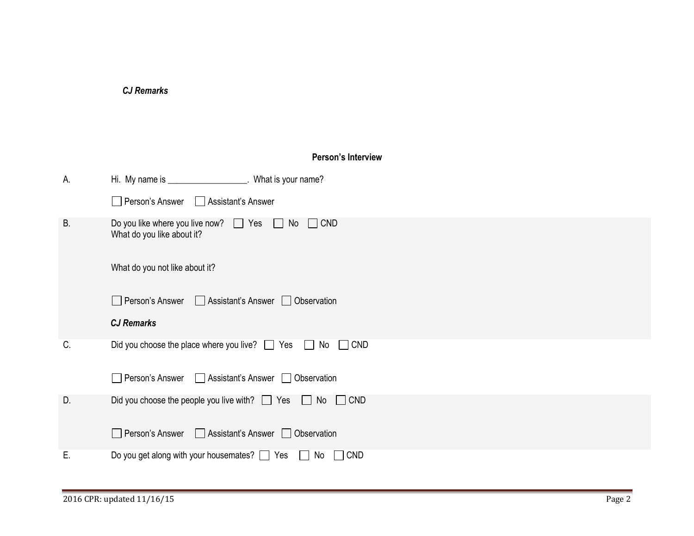|           | <b>CJ Remarks</b>                                                                                |
|-----------|--------------------------------------------------------------------------------------------------|
|           |                                                                                                  |
|           |                                                                                                  |
|           | Person's Interview                                                                               |
| А.        | Hi. My name is ____________________. What is your name?                                          |
|           | Person's Answer<br>□ Assistant's Answer                                                          |
| <b>B.</b> | Do you like where you live now? $\Box$ Yes $\Box$ No<br>$\Box$ CND<br>What do you like about it? |
|           | What do you not like about it?                                                                   |
|           | Person's Answer<br>□ Assistant's Answer □ Observation                                            |
|           | <b>CJ Remarks</b>                                                                                |
| C.        | Did you choose the place where you live? □ Yes □ No □ CND                                        |
|           | Person's Answer<br>Assistant's Answer   Observation                                              |
| D.        | Did you choose the people you live with? $\Box$ Yes<br>$\Box$ No<br>$\Box$ CND                   |
|           | Person's Answer<br>□ Assistant's Answer □ Observation                                            |
| Е.        | Do you get along with your housemates? □ Yes □ No □ CND                                          |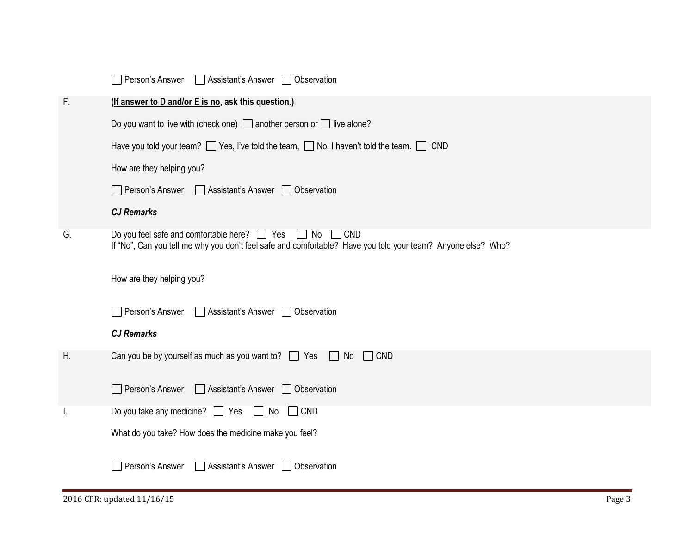|    | Person's Answer<br>Assistant's Answer <b>D</b> Observation                                                                                                                                |
|----|-------------------------------------------------------------------------------------------------------------------------------------------------------------------------------------------|
| F. | (If answer to D and/or E is no, ask this question.)                                                                                                                                       |
|    | Do you want to live with (check one) $\Box$ another person or $\Box$ live alone?                                                                                                          |
|    | Have you told your team? Thes, I've told the team, Tho, I haven't told the team. The CND                                                                                                  |
|    | How are they helping you?                                                                                                                                                                 |
|    | Person's Answer<br>Assistant's Answer <b>D</b> Observation                                                                                                                                |
|    | <b>CJ Remarks</b>                                                                                                                                                                         |
| G. | Do you feel safe and comfortable here? $\Box$ Yes<br>$\Box$ No $\Box$ CND<br>If "No", Can you tell me why you don't feel safe and comfortable? Have you told your team? Anyone else? Who? |
|    | How are they helping you?                                                                                                                                                                 |
|    | Person's Answer<br>□ Assistant's Answer □ Observation                                                                                                                                     |
|    | <b>CJ Remarks</b>                                                                                                                                                                         |
| Н. | Can you be by yourself as much as you want to? $\Box$ Yes $\Box$ No $\Box$ CND                                                                                                            |
|    | Person's Answer<br>□ Assistant's Answer □ Observation                                                                                                                                     |
|    | Do you take any medicine? $\Box$ Yes $\Box$ No<br>$\Box$ CND                                                                                                                              |
|    | What do you take? How does the medicine make you feel?                                                                                                                                    |
|    | Assistant's Answer<br>Person's Answer<br><b>Observation</b>                                                                                                                               |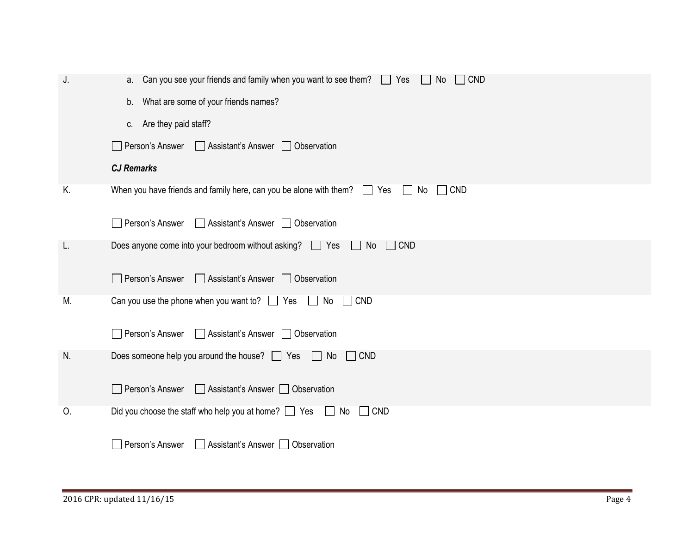| J. | a. Can you see your friends and family when you want to see them? $\Box$ Yes<br>$\Box$ CND<br>No               |
|----|----------------------------------------------------------------------------------------------------------------|
|    | b. What are some of your friends names?                                                                        |
|    | c. Are they paid staff?                                                                                        |
|    | Person's Answer<br>Assistant's Answer <b>Observation</b>                                                       |
|    | <b>CJ Remarks</b>                                                                                              |
| Κ. | When you have friends and family here, can you be alone with them? $\Box$ Yes<br>    No<br>$\vert$ $\vert$ CND |
|    | Person's Answer<br>Assistant's Answer <b>D</b> Observation                                                     |
| L. | Does anyone come into your bedroom without asking? $\Box$ Yes<br>CND<br>No<br>$\mathbf{1}$                     |
|    | Person's Answer<br>Assistant's Answer <b>D</b> Observation                                                     |
| M. | Can you use the phone when you want to? $\Box$ Yes $\Box$ No $\Box$ CND                                        |
|    | Person's Answer<br>Assistant's Answer <b>D</b> Observation                                                     |
| N. | Does someone help you around the house? $\Box$ Yes $\Box$ No<br>$\Box$ CND                                     |
|    | Person's Answer<br>Assistant's Answer   Observation                                                            |
| 0. | Did you choose the staff who help you at home? $\Box$ Yes $\Box$ No $\Box$ CND                                 |
|    | Person's Answer<br>Assistant's Answer   Observation                                                            |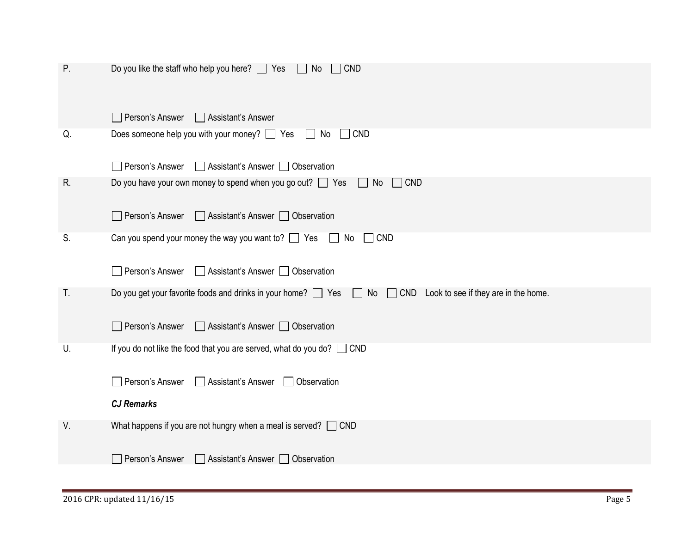| Ρ. | Do you like the staff who help you here? $\Box$ Yes $\Box$ No<br>$\Box$ CND                                                     |
|----|---------------------------------------------------------------------------------------------------------------------------------|
|    | Person's Answer<br>Assistant's Answer                                                                                           |
| Q. | Does someone help you with your money? $\Box$ Yes<br>$\Box$ CND<br>$\Box$ No                                                    |
|    | □ Assistant's Answer □ Observation<br>Person's Answer                                                                           |
| R. | Do you have your own money to spend when you go out? $\Box$ Yes<br>$\Box$ CND<br>No                                             |
|    | Person's Answer<br>Assistant's Answer   Observation                                                                             |
| S. | Can you spend your money the way you want to? $\Box$ Yes<br>$\Box$ CND<br>$\mathbb{R}^n$<br>No                                  |
|    | Person's Answer<br>□ Assistant's Answer □ Observation                                                                           |
| T. | Do you get your favorite foods and drinks in your home? Similar Yes Similar No Similar CND Look to see if they are in the home. |
|    | Person's Answer<br>□ Assistant's Answer □ Observation                                                                           |
| U. | If you do not like the food that you are served, what do you do? $\Box$ CND                                                     |
|    | Person's Answer<br>Assistant's Answer<br>Observation                                                                            |
|    | <b>CJ Remarks</b>                                                                                                               |
| V. | What happens if you are not hungry when a meal is served? $\Box$ CND                                                            |
|    | Person's Answer<br>Assistant's Answer   Observation                                                                             |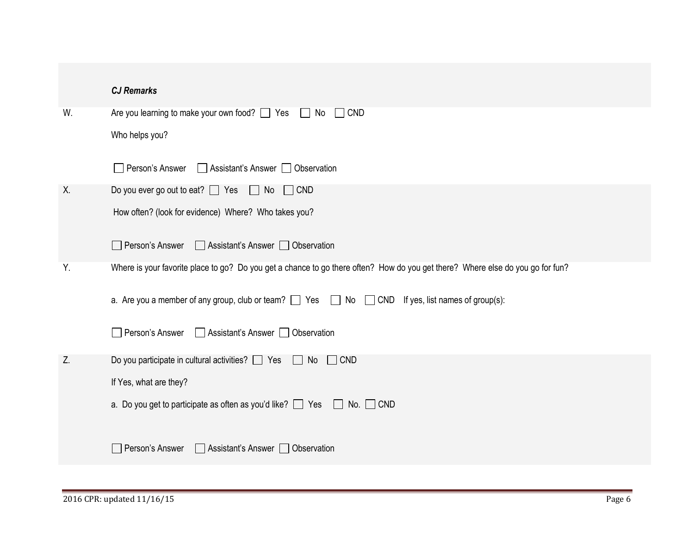|    | <b>CJ Remarks</b>                                                                                                              |
|----|--------------------------------------------------------------------------------------------------------------------------------|
| W. | Are you learning to make your own food? □ Yes □ No □ CND                                                                       |
|    | Who helps you?                                                                                                                 |
|    | Person's Answer<br>Assistant's Answer <b>D</b> Observation                                                                     |
| Χ. | Do you ever go out to eat? □ Yes □ No □ CND                                                                                    |
|    | How often? (look for evidence) Where? Who takes you?                                                                           |
|    | Person's Answer<br>Assistant's Answer   Observation                                                                            |
| Υ. | Where is your favorite place to go? Do you get a chance to go there often? How do you get there? Where else do you go for fun? |
|    | a. Are you a member of any group, club or team? $\Box$ Yes $\Box$ No $\Box$ CND If yes, list names of group(s):                |
|    | Person's Answer<br>Assistant's Answer   Observation                                                                            |
| Z. | Do you participate in cultural activities? $\Box$ Yes $\Box$ No<br>$\Box$ CND                                                  |
|    | If Yes, what are they?                                                                                                         |
|    | a. Do you get to participate as often as you'd like? $\Box$ Yes $\Box$ No. $\Box$ CND                                          |
|    | Person's Answer<br>Assistant's Answer   Observation                                                                            |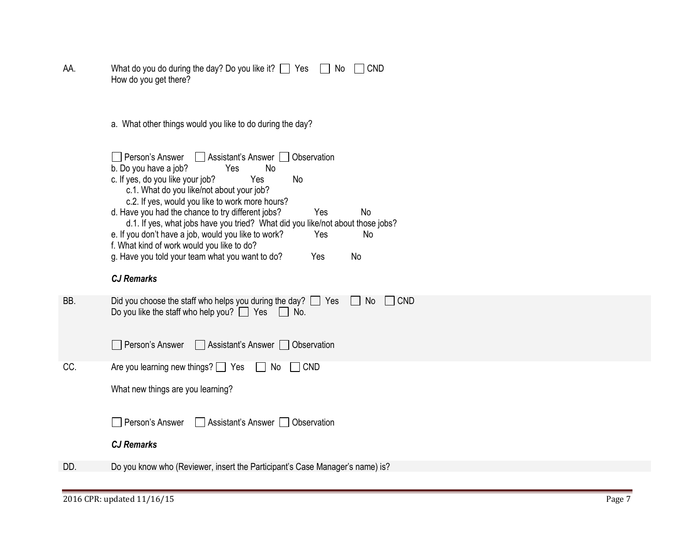| AA. | What do you do during the day? Do you like it? $\Box$ Yes $\Box$ No $\Box$ CND |  |
|-----|--------------------------------------------------------------------------------|--|
|     | How do you get there?                                                          |  |

a. What other things would you like to do during the day?

|     | Person's Answer<br>Assistant's Answer    <br>Observation<br>b. Do you have a job?<br>Yes<br>No.<br>c. If yes, do you like your job?<br>Yes<br>No.<br>c.1. What do you like/not about your job?<br>c.2. If yes, would you like to work more hours?<br>d. Have you had the chance to try different jobs?<br>Yes<br>No.<br>d.1. If yes, what jobs have you tried? What did you like/not about those jobs?<br>e. If you don't have a job, would you like to work?<br>Yes<br>No.<br>f. What kind of work would you like to do?<br>g. Have you told your team what you want to do?<br>Yes<br>No<br><b>CJ Remarks</b> |
|-----|----------------------------------------------------------------------------------------------------------------------------------------------------------------------------------------------------------------------------------------------------------------------------------------------------------------------------------------------------------------------------------------------------------------------------------------------------------------------------------------------------------------------------------------------------------------------------------------------------------------|
| BB. | Did you choose the staff who helps you during the day? $\Box$<br>CND<br>Yes<br>No<br>Do you like the staff who help you? $\Box$ Yes<br>No.                                                                                                                                                                                                                                                                                                                                                                                                                                                                     |
|     | Person's Answer<br>Assistant's Answer<br>Observation                                                                                                                                                                                                                                                                                                                                                                                                                                                                                                                                                           |

CC. Are you learning new things?  $\Box$  Yes  $\Box$  No  $\Box$  CND

| Person's Answer | Assistant's Answer Observation |  |
|-----------------|--------------------------------|--|
|-----------------|--------------------------------|--|

# *CJ Remarks*

DD. Do you know who (Reviewer, insert the Participant's Case Manager's name) is?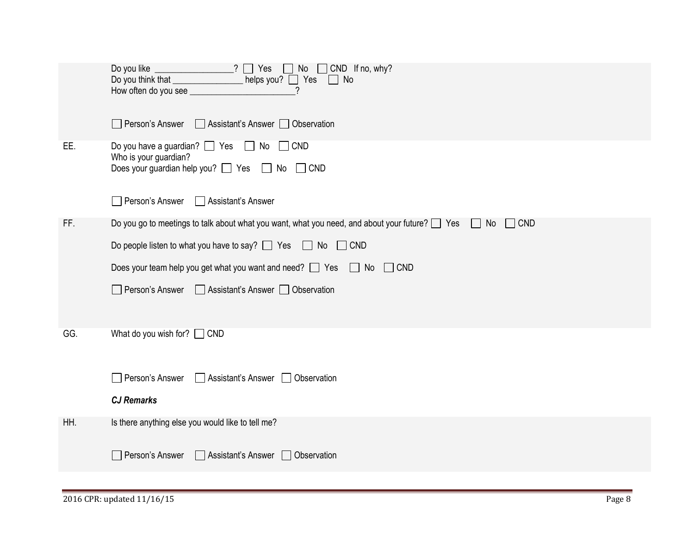|     | Do you like $\qquad \qquad$ ? $\qquad$ Yes $\qquad \qquad$ No $\qquad$ CND If no, why?<br>Do you think that _________________ helps you? ____ Yes ______ No<br>$\gamma$ |
|-----|-------------------------------------------------------------------------------------------------------------------------------------------------------------------------|
|     | Person's Answer Assistant's Answer Observation                                                                                                                          |
| EE. | Do you have a guardian? $\Box$ Yes $\Box$ No $\Box$ CND<br>Who is your guardian?<br>Does your guardian help you? □ Yes □ No □ CND                                       |
|     | Person's Answer<br>□ Assistant's Answer                                                                                                                                 |
| FF. | Do you go to meetings to talk about what you want, what you need, and about your future? $\Box$ Yes $\Box$ No<br>$\Box$ CND                                             |
|     | Do people listen to what you have to say? $\Box$ Yes $\Box$ No $\Box$ CND                                                                                               |
|     | Does your team help you get what you want and need? $\Box$ Yes $\Box$ No $\Box$ CND                                                                                     |
|     | □ Person's Answer □ Assistant's Answer □ Observation                                                                                                                    |
| GG. | What do you wish for? $\Box$ CND                                                                                                                                        |
|     | Person's Answer<br>Assistant's Answer   Observation                                                                                                                     |
|     | <b>CJ Remarks</b>                                                                                                                                                       |
| HH. | Is there anything else you would like to tell me?                                                                                                                       |
|     | Person's Answer<br>Assistant's Answer   Observation                                                                                                                     |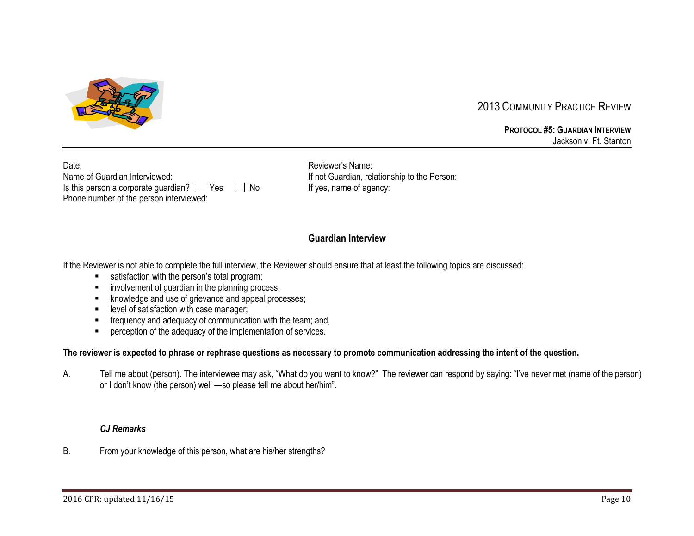

# 2013 COMMUNITY PRACTICE REVIEW

**PROTOCOL #5: GUARDIAN INTERVIEW** Jackson v. Ft. Stanton

| Date:                                                     |  |
|-----------------------------------------------------------|--|
| Name of Guardian Interviewed:                             |  |
| Is this person a corporate guardian? $\Box$ Yes $\Box$ No |  |
| Phone number of the person interviewed:                   |  |

Reviewer's Name: If not Guardian, relationship to the Person: o If yes, name of agency:

# **Guardian Interview**

If the Reviewer is not able to complete the full interview, the Reviewer should ensure that at least the following topics are discussed:

- satisfaction with the person's total program;
- involvement of guardian in the planning process;
- knowledge and use of grievance and appeal processes;
- **■** level of satisfaction with case manager;
- **EXECUTE:** frequency and adequacy of communication with the team; and,
- perception of the adequacy of the implementation of services.

#### **The reviewer is expected to phrase or rephrase questions as necessary to promote communication addressing the intent of the question.**

A. Tell me about (person). The interviewee may ask, "What do you want to know?" The reviewer can respond by saying: "I've never met (name of the person) or I don't know (the person) well —so please tell me about her/him".

### *CJ Remarks*

B. From your knowledge of this person, what are his/her strengths?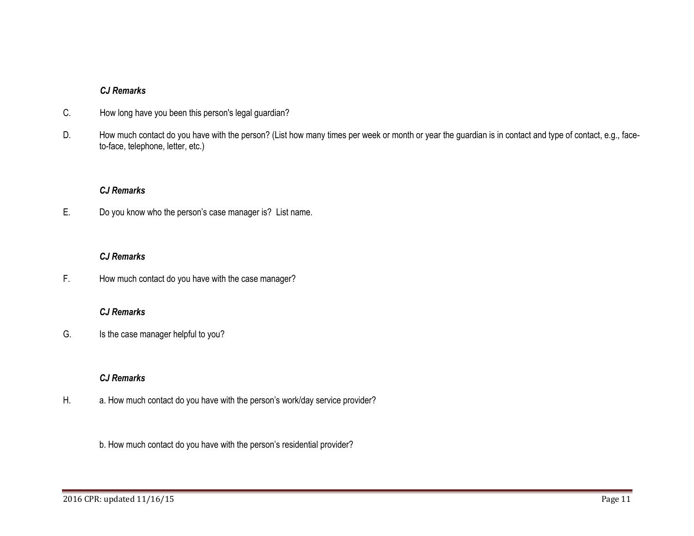- C. How long have you been this person's legal guardian?
- D. How much contact do you have with the person? (List how many times per week or month or year the guardian is in contact and type of contact, e.g., faceto-face, telephone, letter, etc.)

### *CJ Remarks*

E. Do you know who the person's case manager is? List name.

### *CJ Remarks*

F. How much contact do you have with the case manager?

### *CJ Remarks*

G. Is the case manager helpful to you?

# *CJ Remarks*

- H. a. How much contact do you have with the person's work/day service provider?
	- b. How much contact do you have with the person's residential provider?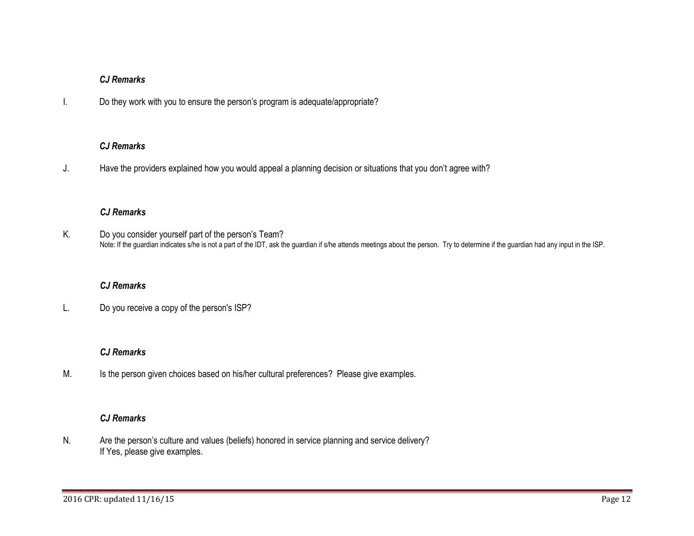I. Do they work with you to ensure the person's program is adequate/appropriate?

### *CJ Remarks*

J. Have the providers explained how you would appeal a planning decision or situations that you don't agree with?

### *CJ Remarks*

K. Do you consider yourself part of the person's Team? Note: If the guardian indicates s/he is not a part of the IDT, ask the guardian if s/he attends meetings about the person. Try to determine if the guardian had any input in the ISP.

# *CJ Remarks*

L. Do you receive a copy of the person's ISP?

# *CJ Remarks*

M. Is the person given choices based on his/her cultural preferences? Please give examples.

# *CJ Remarks*

N. Are the person's culture and values (beliefs) honored in service planning and service delivery? If Yes, please give examples.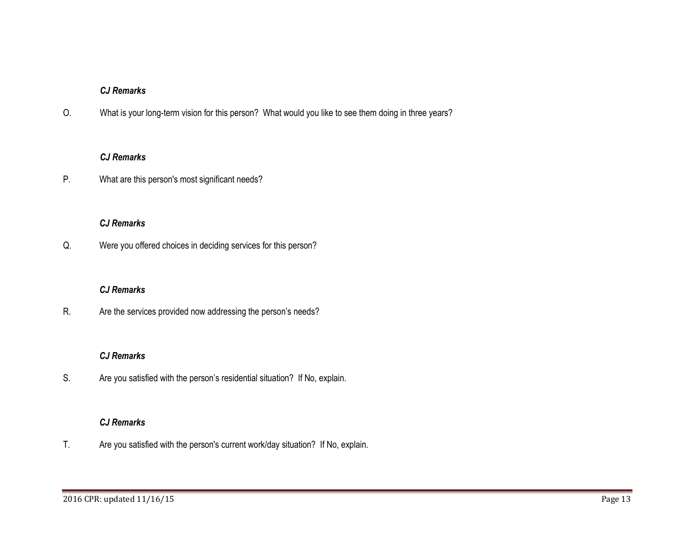O. What is your long-term vision for this person? What would you like to see them doing in three years?

#### *CJ Remarks*

P. What are this person's most significant needs?

# *CJ Remarks*

Q. Were you offered choices in deciding services for this person?

### *CJ Remarks*

R. Are the services provided now addressing the person's needs?

#### *CJ Remarks*

S. Are you satisfied with the person's residential situation? If No, explain.

#### *CJ Remarks*

T. Are you satisfied with the person's current work/day situation? If No, explain.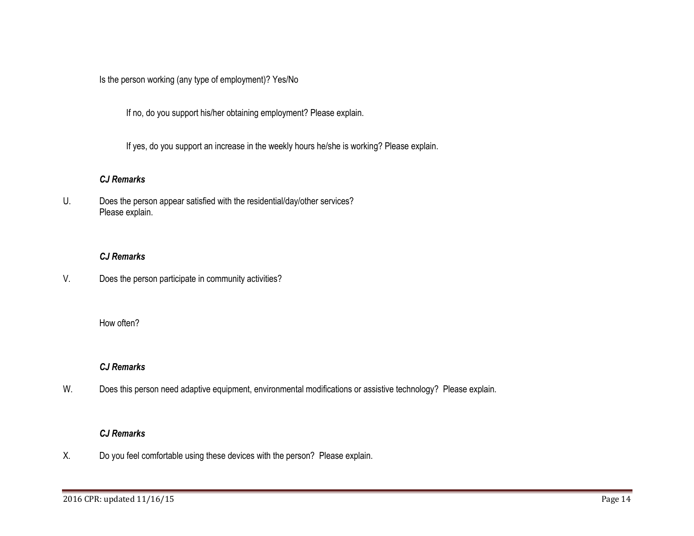Is the person working (any type of employment)? Yes/No

If no, do you support his/her obtaining employment? Please explain.

If yes, do you support an increase in the weekly hours he/she is working? Please explain.

### *CJ Remarks*

U. Does the person appear satisfied with the residential/day/other services? Please explain.

### *CJ Remarks*

V. Does the person participate in community activities?

### How often?

#### *CJ Remarks*

W. Does this person need adaptive equipment, environmental modifications or assistive technology? Please explain.

#### *CJ Remarks*

X. Do you feel comfortable using these devices with the person? Please explain.